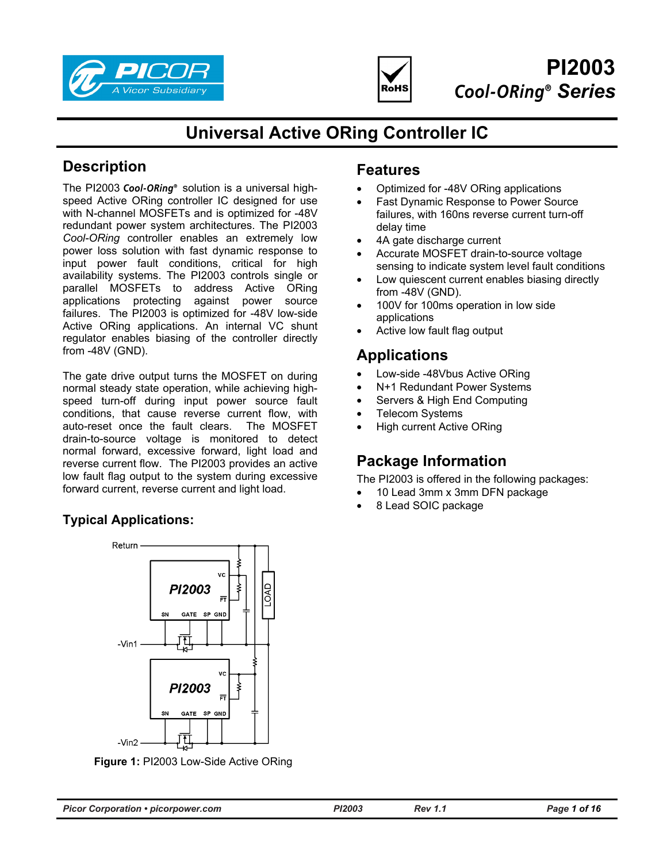



# **PI2003 Cool-ORing<sup>®</sup> Series**

# **Universal Active ORing Controller IC**

# **Description**

The PI2003 Cool-ORing<sup>®</sup> solution is a universal highspeed Active ORing controller IC designed for use with N-channel MOSFETs and is optimized for -48V redundant power system architectures. The PI2003 *Cool-ORing* controller enables an extremely low power loss solution with fast dynamic response to input power fault conditions, critical for high availability systems. The PI2003 controls single or parallel MOSFETs to address Active ORing applications protecting against power source failures. The PI2003 is optimized for -48V low-side Active ORing applications. An internal VC shunt regulator enables biasing of the controller directly from -48V (GND).

The gate drive output turns the MOSFET on during normal steady state operation, while achieving highspeed turn-off during input power source fault conditions, that cause reverse current flow, with auto-reset once the fault clears. The MOSFET drain-to-source voltage is monitored to detect normal forward, excessive forward, light load and reverse current flow. The PI2003 provides an active low fault flag output to the system during excessive forward current, reverse current and light load.

# **Typical Applications:**



**Figure 1:** PI2003 Low-Side Active ORing

# **Features**

- Optimized for -48V ORing applications
- Fast Dynamic Response to Power Source failures, with 160ns reverse current turn-off delay time
- 4A gate discharge current
- Accurate MOSFET drain-to-source voltage sensing to indicate system level fault conditions
- Low quiescent current enables biasing directly from -48V (GND).
- 100V for 100ms operation in low side applications
- Active low fault flag output

# **Applications**

- Low-side -48Vbus Active ORing
- N+1 Redundant Power Systems
- Servers & High End Computing
- **Telecom Systems**
- High current Active ORing

# **Package Information**

The PI2003 is offered in the following packages:

- 10 Lead 3mm x 3mm DFN package
- 8 Lead SOIC package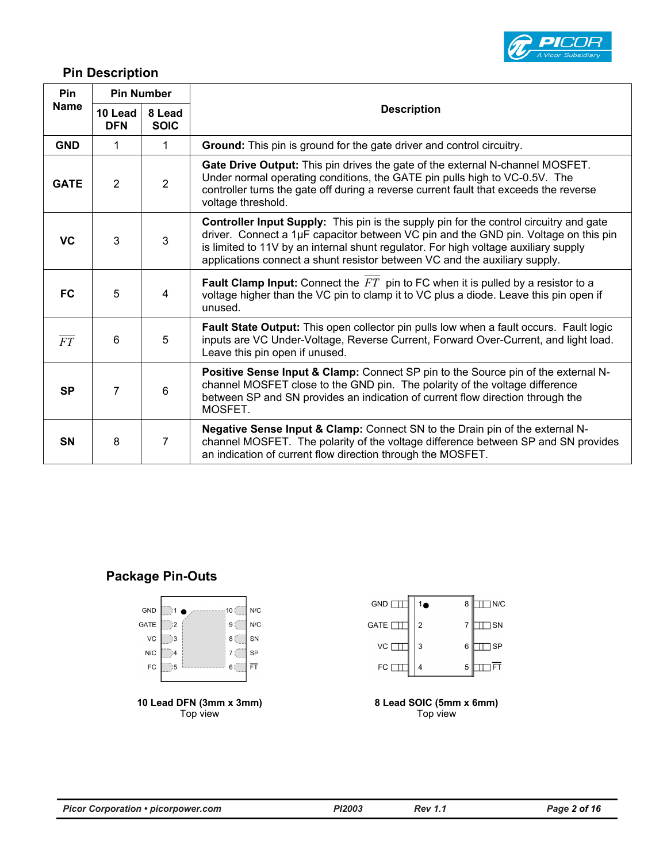

## **Pin Description**

| <b>Pin</b>      |                       | <b>Pin Number</b>     |                                                                                                                                                                                                                                                                                                                                                           |  |  |
|-----------------|-----------------------|-----------------------|-----------------------------------------------------------------------------------------------------------------------------------------------------------------------------------------------------------------------------------------------------------------------------------------------------------------------------------------------------------|--|--|
| <b>Name</b>     | 10 Lead<br><b>DFN</b> | 8 Lead<br><b>SOIC</b> | <b>Description</b>                                                                                                                                                                                                                                                                                                                                        |  |  |
| <b>GND</b>      | 1                     | 1                     | Ground: This pin is ground for the gate driver and control circuitry.                                                                                                                                                                                                                                                                                     |  |  |
| <b>GATE</b>     | 2                     | $\overline{2}$        | Gate Drive Output: This pin drives the gate of the external N-channel MOSFET.<br>Under normal operating conditions, the GATE pin pulls high to VC-0.5V. The<br>controller turns the gate off during a reverse current fault that exceeds the reverse<br>voltage threshold.                                                                                |  |  |
| <b>VC</b>       | 3                     | 3                     | <b>Controller Input Supply:</b> This pin is the supply pin for the control circuitry and gate<br>driver. Connect a 1µF capacitor between VC pin and the GND pin. Voltage on this pin<br>is limited to 11V by an internal shunt regulator. For high voltage auxiliary supply<br>applications connect a shunt resistor between VC and the auxiliary supply. |  |  |
| <b>FC</b>       | 5                     | 4                     | <b>Fault Clamp Input:</b> Connect the $FT$ pin to FC when it is pulled by a resistor to a<br>voltage higher than the VC pin to clamp it to VC plus a diode. Leave this pin open if<br>unused.                                                                                                                                                             |  |  |
| $\overline{FT}$ | 6                     | 5                     | Fault State Output: This open collector pin pulls low when a fault occurs. Fault logic<br>inputs are VC Under-Voltage, Reverse Current, Forward Over-Current, and light load.<br>Leave this pin open if unused.                                                                                                                                           |  |  |
| <b>SP</b>       | 7                     | 6                     | <b>Positive Sense Input &amp; Clamp:</b> Connect SP pin to the Source pin of the external N-<br>channel MOSFET close to the GND pin. The polarity of the voltage difference<br>between SP and SN provides an indication of current flow direction through the<br>MOSFET.                                                                                  |  |  |
| <b>SN</b>       | 8                     | $\overline{7}$        | Negative Sense Input & Clamp: Connect SN to the Drain pin of the external N-<br>channel MOSFET. The polarity of the voltage difference between SP and SN provides<br>an indication of current flow direction through the MOSFET.                                                                                                                          |  |  |

### **Package Pin-Outs**



**10 Lead DFN (3mm x 3mm)**  Top view



**8 Lead SOIC (5mm x 6mm)**  Top view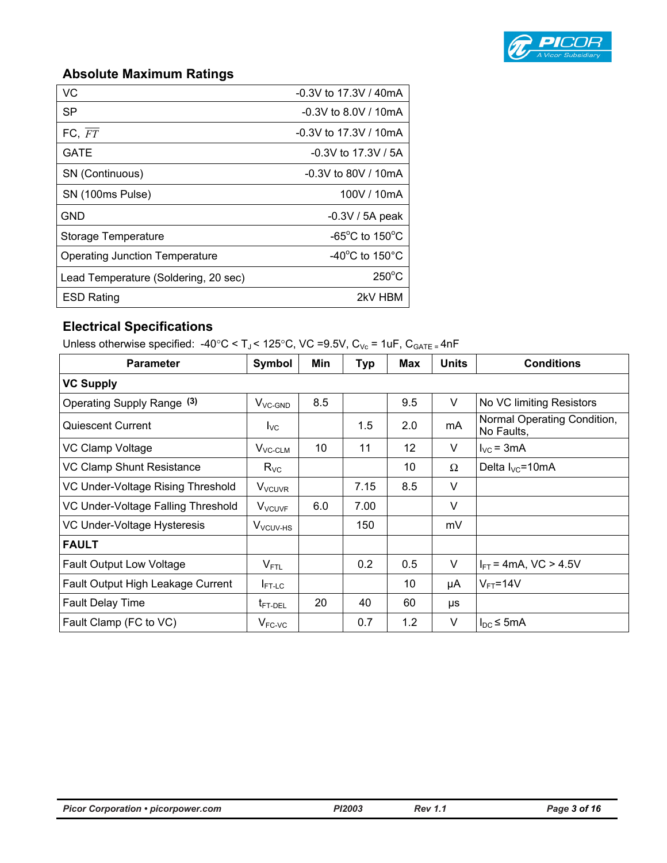

# **Absolute Maximum Ratings**

| <b>VC</b>                             | $-0.3V$ to 17.3V / 40mA              |
|---------------------------------------|--------------------------------------|
| <b>SP</b>                             | $-0.3V$ to 8.0V / 10mA               |
| FC, FT                                | $-0.3V$ to 17.3V / 10mA              |
| <b>GATE</b>                           | $-0.3V$ to 17.3V / 5A                |
| SN (Continuous)                       | $-0.3V$ to 80V / 10mA                |
| SN (100ms Pulse)                      | 100V / 10mA                          |
| <b>GND</b>                            | $-0.3V / 5A$ peak                    |
| Storage Temperature                   | -65 $^{\circ}$ C to 150 $^{\circ}$ C |
| <b>Operating Junction Temperature</b> | -40 $^{\circ}$ C to 150 $^{\circ}$ C |
| Lead Temperature (Soldering, 20 sec)  | $250^{\circ}$ C                      |
| <b>ESD Rating</b>                     | 2kV HBM                              |

## **Electrical Specifications**

Unless otherwise specified:  $-40^{\circ}$ C < T<sub>J</sub> < 125°C, VC = 9.5V, C<sub>Vc</sub> = 1uF, C<sub>GATE =</sub> 4nF

| <b>Parameter</b>                   | Symbol                    | Min | <b>Typ</b> | Max | <b>Units</b> | <b>Conditions</b>                         |
|------------------------------------|---------------------------|-----|------------|-----|--------------|-------------------------------------------|
| <b>VC Supply</b>                   |                           |     |            |     |              |                                           |
| Operating Supply Range (3)         | $V_{VC-GND}$              | 8.5 |            | 9.5 | V            | No VC limiting Resistors                  |
| <b>Quiescent Current</b>           | $I_{\text{VC}}$           |     | $1.5\,$    | 2.0 | mA           | Normal Operating Condition,<br>No Faults, |
| VC Clamp Voltage                   | $V_{VC-CLM}$              | 10  | 11         | 12  | V            | $I_{\text{VC}}$ = 3mA                     |
| <b>VC Clamp Shunt Resistance</b>   | $R_{VC}$                  |     |            | 10  | $\Omega$     | Delta $I_{\text{VC}}$ =10mA               |
| VC Under-Voltage Rising Threshold  | <b>V</b> <sub>VCUVR</sub> |     | 7.15       | 8.5 | V            |                                           |
| VC Under-Voltage Falling Threshold | V <sub>VCUVF</sub>        | 6.0 | 7.00       |     | V            |                                           |
| VC Under-Voltage Hysteresis        | V <sub>VCUV-HS</sub>      |     | 150        |     | mV           |                                           |
| <b>FAULT</b>                       |                           |     |            |     |              |                                           |
| <b>Fault Output Low Voltage</b>    | $V_{\text{FTL}}$          |     | 0.2        | 0.5 | V            | $I_{FT}$ = 4mA, VC > 4.5V                 |
| Fault Output High Leakage Current  | $I_{FT-LC}$               |     |            | 10  | μA           | $V_{FT}$ =14 $V$                          |
| <b>Fault Delay Time</b>            | t <sub>FT-DEL</sub>       | 20  | 40         | 60  | μs           |                                           |
| Fault Clamp (FC to VC)             | $V_{FC\text{-}VC}$        |     | 0.7        | 1.2 | V            | $I_{DC} \leq 5mA$                         |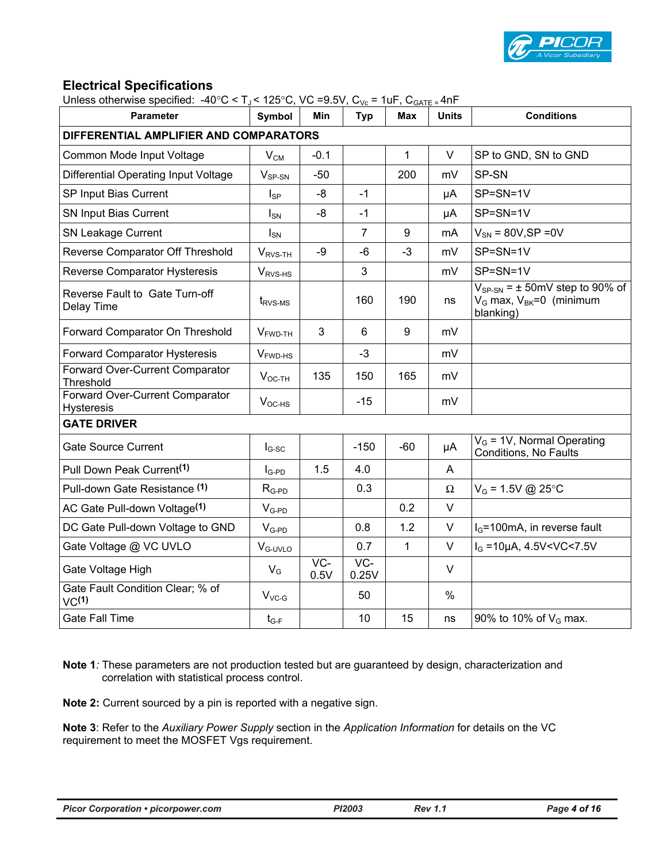

### **Electrical Specifications**

| Unless otherwise specified: $-40^{\circ}$ C < T <sub>J</sub> < 125°C, VC =9.5V, C <sub>Vc</sub> = 1uF, C <sub>GATE =</sub> 4nF |              |               |                          |              |              |                                                                                          |
|--------------------------------------------------------------------------------------------------------------------------------|--------------|---------------|--------------------------|--------------|--------------|------------------------------------------------------------------------------------------|
| <b>Parameter</b>                                                                                                               | Symbol       | Min           | <b>Typ</b>               | <b>Max</b>   | <b>Units</b> | <b>Conditions</b>                                                                        |
| DIFFERENTIAL AMPLIFIER AND COMPARATORS                                                                                         |              |               |                          |              |              |                                                                                          |
| Common Mode Input Voltage                                                                                                      | $V_{CM}$     | $-0.1$        |                          | 1            | V            | SP to GND, SN to GND                                                                     |
| Differential Operating Input Voltage                                                                                           | $V_{SP-SN}$  | $-50$         |                          | 200          | mV           | SP-SN                                                                                    |
| SP Input Bias Current                                                                                                          | $I_{SP}$     | -8            | $-1$                     |              | μA           | SP=SN=1V                                                                                 |
| SN Input Bias Current                                                                                                          | $I_{SN}$     | -8            | $-1$                     |              | μA           | SP=SN=1V                                                                                 |
| <b>SN Leakage Current</b>                                                                                                      | $I_{SN}$     |               | $\overline{7}$           | 9            | mA           | $V_{SN}$ = 80V, SP = 0V                                                                  |
| Reverse Comparator Off Threshold                                                                                               | $V_{RVS-TH}$ | -9            | $-6$                     | $-3$         | mV           | SP=SN=1V                                                                                 |
| <b>Reverse Comparator Hysteresis</b>                                                                                           | $V_{RVS-HS}$ |               | 3                        |              | mV           | SP=SN=1V                                                                                 |
| Reverse Fault to Gate Turn-off<br>Delay Time                                                                                   | $t_{RVS-MS}$ |               | 160                      | 190          | ns           | $V_{SP-SN}$ = $\pm$ 50mV step to 90% of<br>$V_G$ max, $V_{BK} = 0$ (minimum<br>blanking) |
| Forward Comparator On Threshold                                                                                                | $VFWD-TH$    | 3             | 6                        | 9            | mV           |                                                                                          |
| Forward Comparator Hysteresis                                                                                                  | $VFWD-HS$    |               | $-3$                     |              | mV           |                                                                                          |
| Forward Over-Current Comparator<br>Threshold                                                                                   | $V_{OC-TH}$  | 135           | 150                      | 165          | mV           |                                                                                          |
| Forward Over-Current Comparator<br><b>Hysteresis</b>                                                                           | $V_{OC-HS}$  |               | $-15$                    |              | mV           |                                                                                          |
| <b>GATE DRIVER</b>                                                                                                             |              |               |                          |              |              |                                                                                          |
| <b>Gate Source Current</b>                                                                                                     | $I_{G-SC}$   |               | $-150$                   | $-60$        | μA           | $V_G$ = 1V, Normal Operating<br>Conditions, No Faults                                    |
| Pull Down Peak Current <sup>(1)</sup>                                                                                          | $I_{G-PD}$   | 1.5           | 4.0                      |              | A            |                                                                                          |
| Pull-down Gate Resistance (1)                                                                                                  | $R_{G-PD}$   |               | 0.3                      |              | Ω            | $V_G = 1.5V$ @ 25°C                                                                      |
| AC Gate Pull-down Voltage <sup>(1)</sup>                                                                                       | $V_{G-PD}$   |               |                          | 0.2          | $\vee$       |                                                                                          |
| DC Gate Pull-down Voltage to GND                                                                                               | $V_{G-PD}$   |               | 0.8                      | 1.2          | $\vee$       | $I_G$ =100mA, in reverse fault                                                           |
| Gate Voltage @ VC UVLO                                                                                                         | $VG-UVLO$    |               | 0.7                      | $\mathbf{1}$ | $\vee$       | $I_G = 10 \mu A$ , 4.5V < VC < 7.5V                                                      |
| Gate Voltage High                                                                                                              | $V_G$        | $VC-$<br>0.5V | $\overline{VC}$<br>0.25V |              | $\vee$       |                                                                                          |
| Gate Fault Condition Clear; % of<br>VC <sup>(1)</sup>                                                                          | $V_{VC-G}$   |               | 50                       |              | $\%$         |                                                                                          |
| <b>Gate Fall Time</b>                                                                                                          | $t_{G-F}$    |               | 10                       | 15           | ns           | 90% to 10% of $V_G$ max.                                                                 |

**Note 1***:* These parameters are not production tested but are guaranteed by design, characterization and correlation with statistical process control.

**Note 2:** Current sourced by a pin is reported with a negative sign.

**Note 3**: Refer to the *Auxiliary Power Supply* section in the *Application Information* for details on the VC requirement to meet the MOSFET Vgs requirement.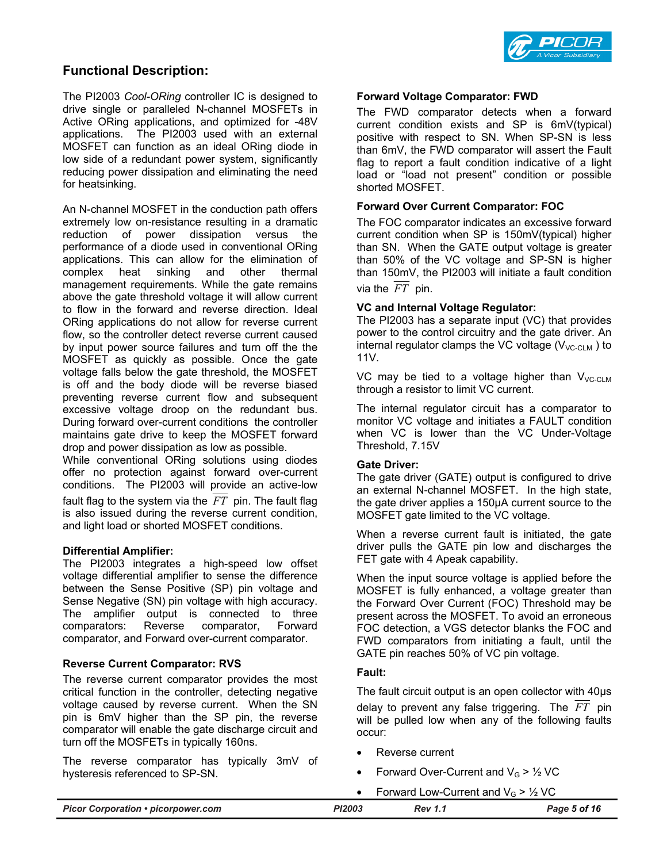

### **Functional Description:**

The PI2003 *Cool-ORing* controller IC is designed to drive single or paralleled N-channel MOSFETs in Active ORing applications, and optimized for -48V applications. The PI2003 used with an external MOSFET can function as an ideal ORing diode in low side of a redundant power system, significantly reducing power dissipation and eliminating the need for heatsinking.

An N-channel MOSFET in the conduction path offers extremely low on-resistance resulting in a dramatic reduction of power dissipation versus the performance of a diode used in conventional ORing applications. This can allow for the elimination of complex heat sinking and other thermal management requirements. While the gate remains above the gate threshold voltage it will allow current to flow in the forward and reverse direction. Ideal ORing applications do not allow for reverse current flow, so the controller detect reverse current caused by input power source failures and turn off the the MOSFET as quickly as possible. Once the gate voltage falls below the gate threshold, the MOSFET is off and the body diode will be reverse biased preventing reverse current flow and subsequent excessive voltage droop on the redundant bus. During forward over-current conditions the controller maintains gate drive to keep the MOSFET forward drop and power dissipation as low as possible.

While conventional ORing solutions using diodes offer no protection against forward over-current conditions. The PI2003 will provide an active-low fault flag to the system via the *FT* pin. The fault flag is also issued during the reverse current condition, and light load or shorted MOSFET conditions.

#### **Differential Amplifier:**

The PI2003 integrates a high-speed low offset voltage differential amplifier to sense the difference between the Sense Positive (SP) pin voltage and Sense Negative (SN) pin voltage with high accuracy. The amplifier output is connected to three comparators: Reverse comparator, Forward comparator, and Forward over-current comparator.

#### **Reverse Current Comparator: RVS**

The reverse current comparator provides the most critical function in the controller, detecting negative voltage caused by reverse current. When the SN pin is 6mV higher than the SP pin, the reverse comparator will enable the gate discharge circuit and turn off the MOSFETs in typically 160ns.

The reverse comparator has typically 3mV of hysteresis referenced to SP-SN.

#### **Forward Voltage Comparator: FWD**

The FWD comparator detects when a forward current condition exists and SP is 6mV(typical) positive with respect to SN. When SP-SN is less than 6mV, the FWD comparator will assert the Fault flag to report a fault condition indicative of a light load or "load not present" condition or possible shorted MOSFET.

#### **Forward Over Current Comparator: FOC**

The FOC comparator indicates an excessive forward current condition when SP is 150mV(typical) higher than SN. When the GATE output voltage is greater than 50% of the VC voltage and SP-SN is higher than 150mV, the PI2003 will initiate a fault condition via the  $\overline{FT}$  pin.

#### **VC and Internal Voltage Regulator:**

The PI2003 has a separate input (VC) that provides power to the control circuitry and the gate driver. An internal regulator clamps the VC voltage  $(V_{VCCUM})$  to 11V.

VC may be tied to a voltage higher than  $V_{\text{VC-CLM}}$ through a resistor to limit VC current.

The internal regulator circuit has a comparator to monitor VC voltage and initiates a FAULT condition when VC is lower than the VC Under-Voltage Threshold, 7.15V

#### **Gate Driver:**

The gate driver (GATE) output is configured to drive an external N-channel MOSFET. In the high state, the gate driver applies a 150µA current source to the MOSFET gate limited to the VC voltage.

When a reverse current fault is initiated, the gate driver pulls the GATE pin low and discharges the FET gate with 4 Apeak capability.

When the input source voltage is applied before the MOSFET is fully enhanced, a voltage greater than the Forward Over Current (FOC) Threshold may be present across the MOSFET. To avoid an erroneous FOC detection, a VGS detector blanks the FOC and FWD comparators from initiating a fault, until the GATE pin reaches 50% of VC pin voltage.

#### **Fault:**

The fault circuit output is an open collector with 40μs delay to prevent any false triggering. The *FT* pin will be pulled low when any of the following faults occur:

- Reverse current
- Forward Over-Current and  $V_G$  >  $\frac{1}{2}$  VC
- Forward Low-Current and  $V_c > 1/2$  VC

| <b>Picor Corporation • picorpower.com</b> | PI2003 | <b>Rev 1.1</b> | Page 5 of 16 |
|-------------------------------------------|--------|----------------|--------------|
|                                           |        |                |              |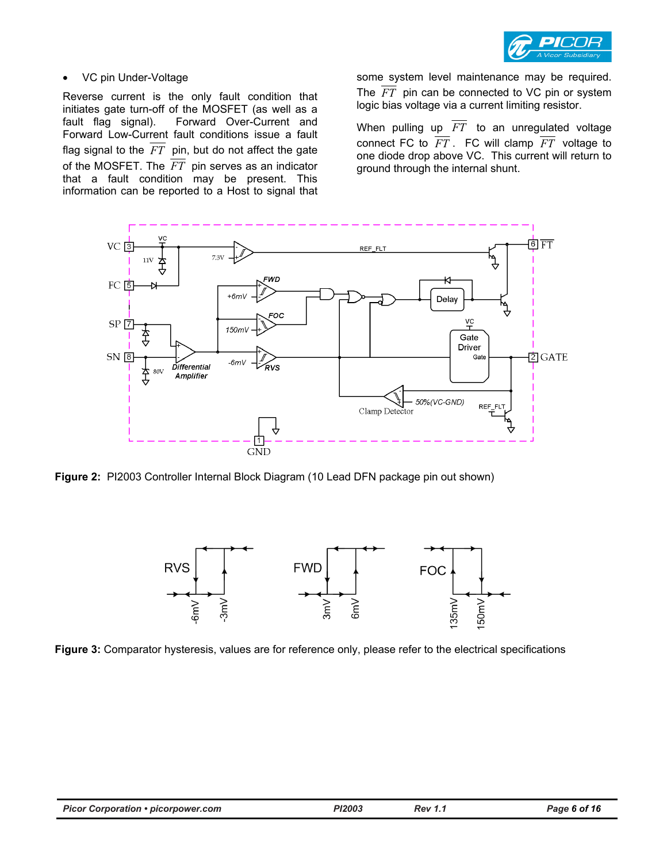

#### • VC pin Under-Voltage

Reverse current is the only fault condition that initiates gate turn-off of the MOSFET (as well as a fault flag signal). Forward Over-Current and Forward Low-Current fault conditions issue a fault flag signal to the  $F\overline{T}$  pin, but do not affect the gate of the MOSFET. The *FT* pin serves as an indicator that a fault condition may be present. This information can be reported to a Host to signal that

some system level maintenance may be required. The  $FT$  pin can be connected to VC pin or system logic bias voltage via a current limiting resistor.

When pulling up *FT* to an unregulated voltage connect FC to  $\overline{FT}$ . FC will clamp  $\overline{FT}$  voltage to one diode drop above VC. This current will return to ground through the internal shunt.



**Figure 2:** PI2003 Controller Internal Block Diagram (10 Lead DFN package pin out shown)



**Figure 3:** Comparator hysteresis, values are for reference only, please refer to the electrical specifications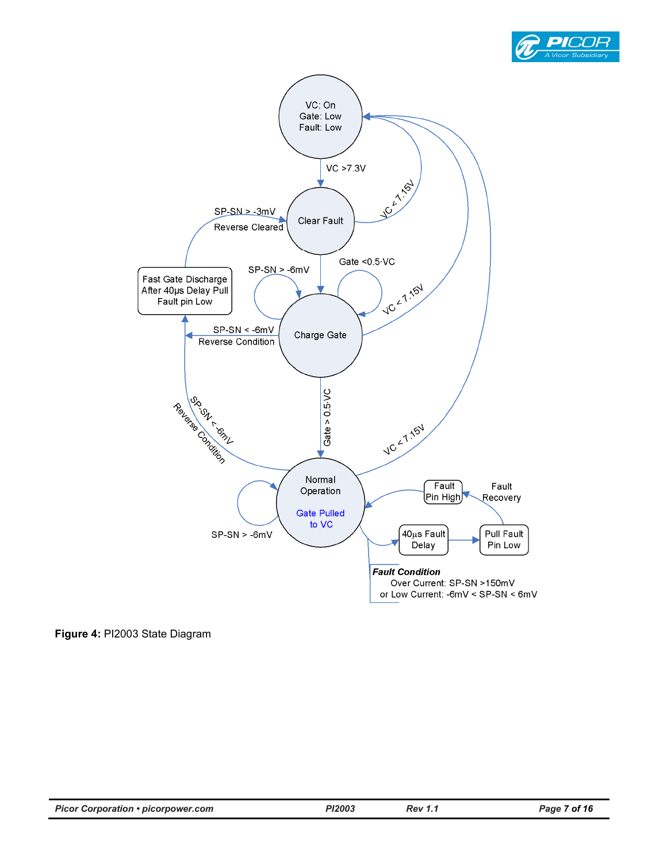



**Figure 4:** PI2003 State Diagram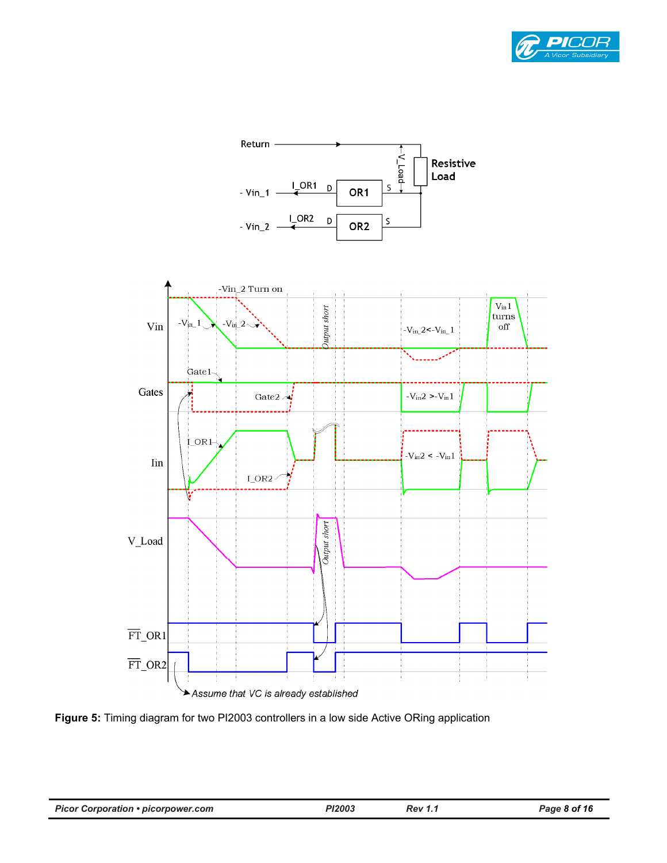



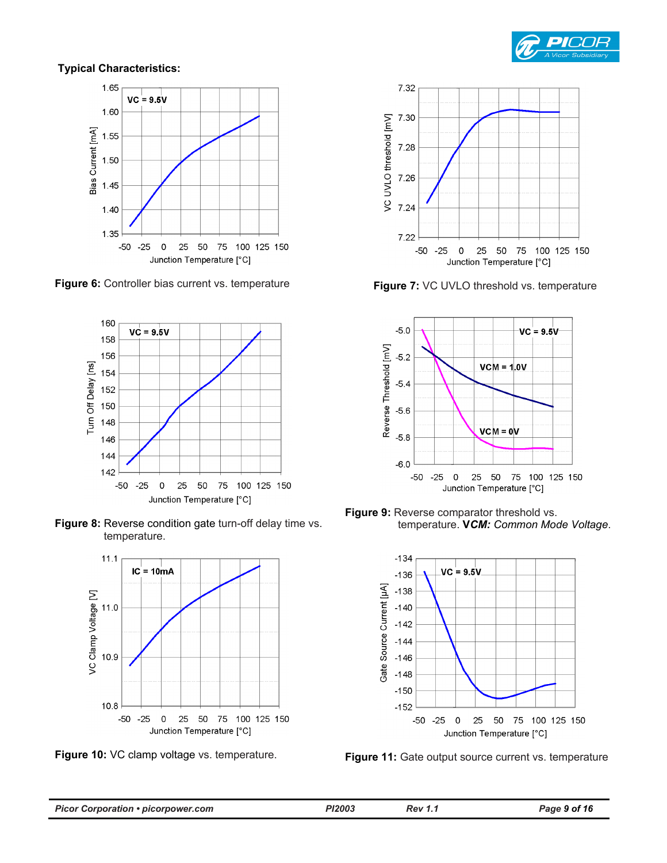

#### **Typical Characteristics:**



**Figure 6:** Controller bias current vs. temperature **Figure 7:** VC UVLO threshold vs. temperature













**Figure 9:** Reverse comparator threshold vs. temperature. **V***CM: Common Mode Voltage*.

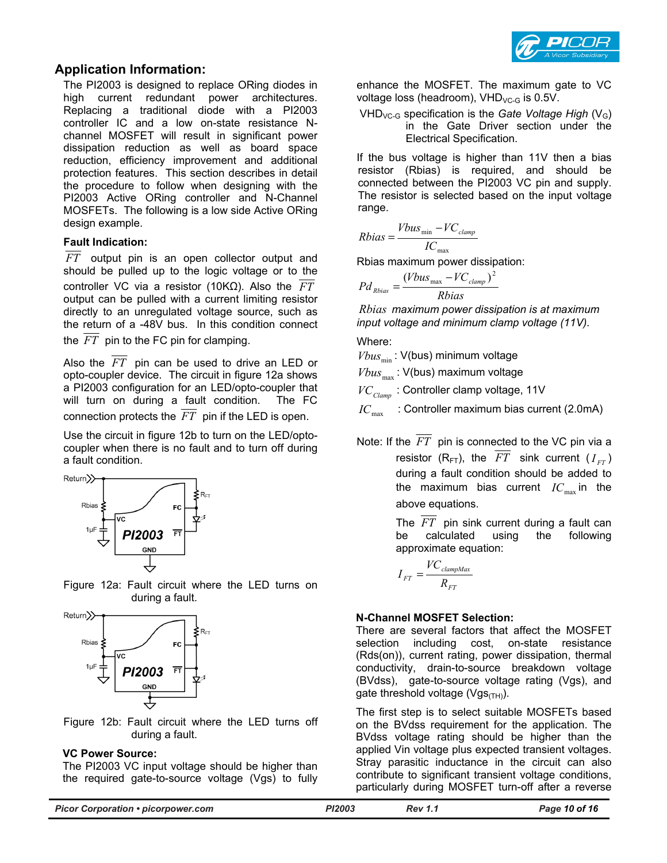

#### **Application Information:**

The PI2003 is designed to replace ORing diodes in high current redundant power architectures. Replacing a traditional diode with a PI2003 controller IC and a low on-state resistance Nchannel MOSFET will result in significant power dissipation reduction as well as board space reduction, efficiency improvement and additional protection features. This section describes in detail the procedure to follow when designing with the PI2003 Active ORing controller and N-Channel MOSFETs. The following is a low side Active ORing design example.

#### **Fault Indication:**

*FT* output pin is an open collector output and should be pulled up to the logic voltage or to the controller VC via a resistor (10KΩ). Also the *FT* output can be pulled with a current limiting resistor directly to an unregulated voltage source, such as the return of a -48V bus. In this condition connect

the  $\overline{FT}$  pin to the FC pin for clamping.

Also the *FT* pin can be used to drive an LED or opto-coupler device. The circuit in figure 12a shows a PI2003 configuration for an LED/opto-coupler that will turn on during a fault condition. The FC connection protects the  $\overline{FT}$  pin if the LED is open.

Use the circuit in figure 12b to turn on the LED/optocoupler when there is no fault and to turn off during a fault condition.







Figure 12b: Fault circuit where the LED turns off during a fault.

#### **VC Power Source:**

The PI2003 VC input voltage should be higher than the required gate-to-source voltage (Vgs) to fully

enhance the MOSFET. The maximum gate to VC voltage loss (headroom),  $VHD_{VCG}$  is 0.5V.

VHD<sub>VC-G</sub> specification is the *Gate Voltage High* (V<sub>G</sub>) in the Gate Driver section under the Electrical Specification.

If the bus voltage is higher than 11V then a bias resistor (Rbias) is required, and should be connected between the PI2003 VC pin and supply. The resistor is selected based on the input voltage range.

$$
Rbias = \frac{Vbus_{\min} - VC_{clamp}}{IC_{\max}}
$$

Rbias maximum power dissipation:

$$
Pd_{Rbias} = \frac{(Vbus_{\text{max}} - VC_{\text{clamp}})^2}{Rbias}
$$

*Rbias maximum power dissipation is at maximum input voltage and minimum clamp voltage (11V).*

Where:

 $Vbus_{min}$ : V(bus) minimum voltage

 $Vbus_{\text{max}}$ : V(bus) maximum voltage

*VC<sub>Clamn</sub>*: Controller clamp voltage, 11V

 $IC_{\text{max}}$  : Controller maximum bias current (2.0mA)

Note: If the *FT* pin is connected to the VC pin via a resistor ( $R_{FT}$ ), the  $\overline{FT}$  sink current ( $I_{FT}$ ) during a fault condition should be added to the maximum bias current  $IC_{\text{max}}$  in the above equations.

> The *FT* pin sink current during a fault can be calculated using the following approximate equation:

$$
I_{FT} = \frac{V C_{clampMax}}{R_{FT}}
$$

#### **N-Channel MOSFET Selection:**

There are several factors that affect the MOSFET selection including cost, on-state resistance (Rds(on)), current rating, power dissipation, thermal conductivity, drain-to-source breakdown voltage (BVdss), gate-to-source voltage rating (Vgs), and gate threshold voltage ( $Vgs$ <sub>(TH)</sub>).

The first step is to select suitable MOSFETs based on the BVdss requirement for the application. The BVdss voltage rating should be higher than the applied Vin voltage plus expected transient voltages. Stray parasitic inductance in the circuit can also contribute to significant transient voltage conditions, particularly during MOSFET turn-off after a reverse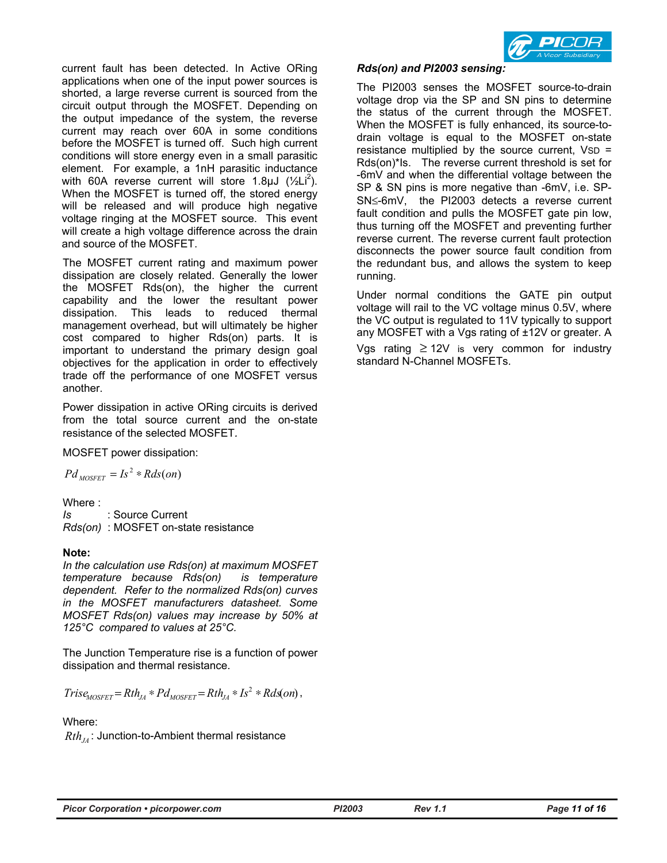current fault has been detected. In Active ORing applications when one of the input power sources is shorted, a large reverse current is sourced from the circuit output through the MOSFET. Depending on the output impedance of the system, the reverse current may reach over 60A in some conditions before the MOSFET is turned off. Such high current conditions will store energy even in a small parasitic element. For example, a 1nH parasitic inductance with 60A reverse current will store 1.8 $\mu$ J ( $\frac{1}{2}$ Li<sup>2</sup>). When the MOSFET is turned off, the stored energy will be released and will produce high negative voltage ringing at the MOSFET source. This event will create a high voltage difference across the drain and source of the MOSFET.

The MOSFET current rating and maximum power dissipation are closely related. Generally the lower the MOSFET Rds(on), the higher the current capability and the lower the resultant power dissipation. This leads to reduced thermal management overhead, but will ultimately be higher cost compared to higher Rds(on) parts. It is important to understand the primary design goal objectives for the application in order to effectively trade off the performance of one MOSFET versus another.

Power dissipation in active ORing circuits is derived from the total source current and the on-state resistance of the selected MOSFET*.* 

MOSFET power dissipation:

$$
Pd_{MOSFET} = Is^2 * Rds (on)
$$

Where :

*Is* : Source Current *Rds(on)* : MOSFET on-state resistance

#### **Note:**

*In the calculation use Rds(on) at maximum MOSFET temperature because Rds(on) is temperature dependent. Refer to the normalized Rds(on) curves in the MOSFET manufacturers datasheet. Some MOSFET Rds(on) values may increase by 50% at 125°C compared to values at 25°C.* 

The Junction Temperature rise is a function of power dissipation and thermal resistance.

 $Tris\epsilon_{MOSFET} = Rth_{JA} * Pd_{MOSFET} = Rth_{JA} * Is^2 * Rds$  (on),

#### Where:

 $Rth_{\overline{I}}$ : Junction-to-Ambient thermal resistance



#### *Rds(on) and PI2003 sensing:*

The PI2003 senses the MOSFET source-to-drain voltage drop via the SP and SN pins to determine the status of the current through the MOSFET. When the MOSFET is fully enhanced, its source-todrain voltage is equal to the MOSFET on-state resistance multiplied by the source current,  $VSD =$ Rds(on)\*Is. The reverse current threshold is set for -6mV and when the differential voltage between the SP & SN pins is more negative than -6mV, i.e. SP-SN≤-6mV, the PI2003 detects a reverse current fault condition and pulls the MOSFET gate pin low, thus turning off the MOSFET and preventing further reverse current. The reverse current fault protection disconnects the power source fault condition from the redundant bus, and allows the system to keep running.

Under normal conditions the GATE pin output voltage will rail to the VC voltage minus 0.5V, where the VC output is regulated to 11V typically to support any MOSFET with a Vgs rating of ±12V or greater. A Vgs rating ≥ 12V is very common for industry standard N-Channel MOSFETs.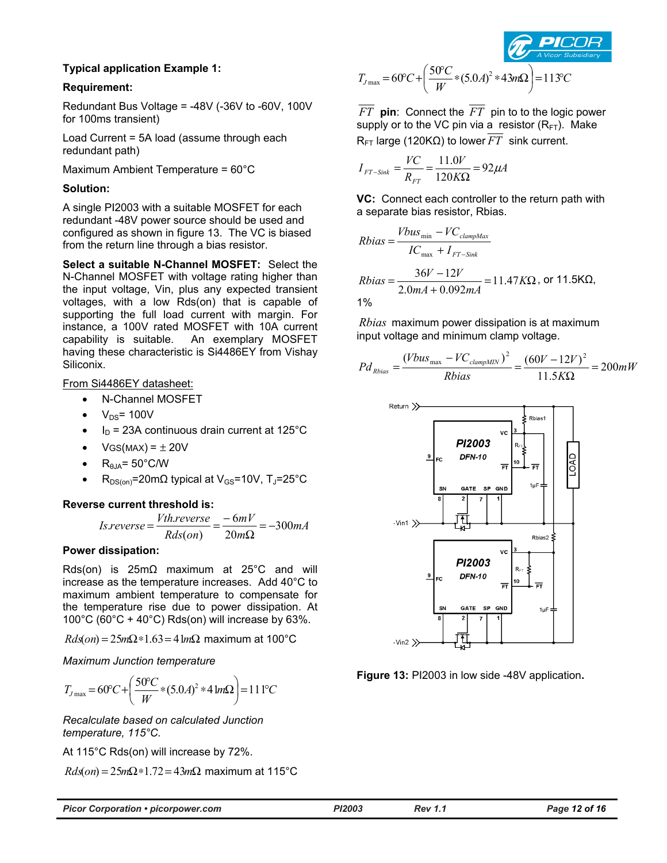

#### **Typical application Example 1:**

#### **Requirement:**

Redundant Bus Voltage = -48V (-36V to -60V, 100V for 100ms transient)

Load Current = 5A load (assume through each redundant path)

Maximum Ambient Temperature = 60°C

#### **Solution:**

A single PI2003 with a suitable MOSFET for each redundant -48V power source should be used and configured as shown in figure 13. The VC is biased from the return line through a bias resistor.

**Select a suitable N-Channel MOSFET:** Select the N-Channel MOSFET with voltage rating higher than the input voltage, Vin, plus any expected transient voltages, with a low Rds(on) that is capable of supporting the full load current with margin. For instance, a 100V rated MOSFET with 10A current capability is suitable. An exemplary MOSFET having these characteristic is Si4486EY from Vishay Siliconix.

#### From Si4486EY datasheet:

- N-Channel MOSFET
- $V_{DS}$ = 100V
- $I_D$  = 23A continuous drain current at 125°C
- $VGS(MAX) = \pm 20V$
- $R_{\theta, IA} = 50^{\circ}$ C/W
- $R_{DS(on)}$ =20mΩ typical at V<sub>GS</sub>=10V, T<sub>J</sub>=25°C

#### **Reverse current threshold is:**

$$
Is reverse = \frac{Vth reverse}{Rds(on)} = \frac{-6mV}{20m\Omega} = -300mA
$$

#### **Power dissipation:**

Rds(on) is 25mΩ maximum at 25°C and will increase as the temperature increases. Add 40°C to maximum ambient temperature to compensate for the temperature rise due to power dissipation. At 100°C (60°C + 40°C) Rds(on) will increase by 63%.

*Rds*(*on*) = 25*m*Ω∗1.63= 41*m*Ω maximum at 100°C

*Maximum Junction temperature* 

$$
T_{J\max} = 60°C + \left(\frac{50°C}{W} * (5.0A)^2 * 4 \ln \Omega\right) = 111°C
$$

*Recalculate based on calculated Junction temperature, 115°C.* 

At 115°C Rds(on) will increase by 72%.

*Rds*(*on*) = 25*m*Ω∗1.72= 43*m*Ω maximum at 115°C

$$
T_{J\max} = 60^{\circ}C + \left(\frac{50^{\circ}C}{W} * (5.0A)^2 * 43m\Omega\right) = 113^{\circ}C
$$

*FT* **pin**: Connect the *FT* pin to to the logic power supply or to the VC pin via a resistor  $(R<sub>FT</sub>)$ . Make R<sub>FT</sub> large (120KΩ) to lower  $\overline{FT}$  sink current.

$$
I_{FT-Sink} = \frac{VC}{R_{FT}} = \frac{11.0V}{120K\Omega} = 92\mu A
$$

**VC:** Connect each controller to the return path with a separate bias resistor, Rbias.

*Rbias* = 
$$
\frac{Vbus_{min} - VC_{clampMax}}{IC_{max} + I_{FT-Sink}}
$$
  
\n*Rbias* = 
$$
\frac{36V - 12V}{2.0mA + 0.092mA} = 11.47KΩ
$$
, or 11.5KΩ, 1%

*Rbias* maximum power dissipation is at maximum input voltage and minimum clamp voltage.

$$
P d_{Rbias} = \frac{(Vbus_{\text{max}} - VC_{clampMIN})^2}{Rbias} = \frac{(60V - 12V)^2}{11.5K\Omega} = 200mW
$$



**Figure 13:** PI2003 in low side -48V application**.** 

| <b>Picor Corporation • picorpower.com</b> |  |  |
|-------------------------------------------|--|--|
|-------------------------------------------|--|--|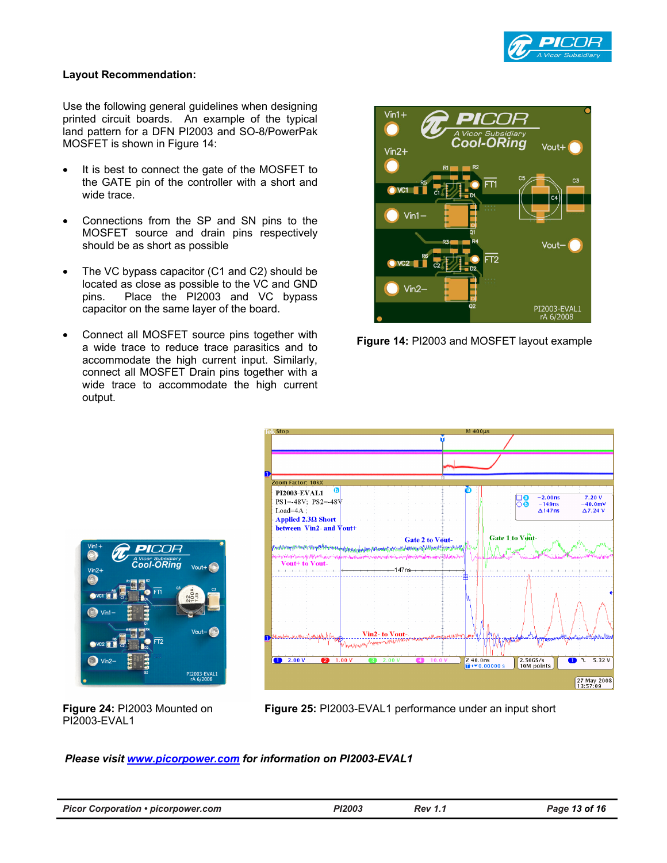

#### **Layout Recommendation:**

Use the following general guidelines when designing printed circuit boards. An example of the typical land pattern for a DFN PI2003 and SO-8/PowerPak MOSFET is shown in Figure 14:

- It is best to connect the gate of the MOSFET to the GATE pin of the controller with a short and wide trace.
- Connections from the SP and SN pins to the MOSFET source and drain pins respectively should be as short as possible
- The VC bypass capacitor (C1 and C2) should be located as close as possible to the VC and GND pins. Place the PI2003 and VC bypass capacitor on the same layer of the board.
- Connect all MOSFET source pins together with a wide trace to reduce trace parasitics and to accommodate the high current input. Similarly, connect all MOSFET Drain pins together with a wide trace to accommodate the high current output.



**Figure 14:** PI2003 and MOSFET layout example





**Figure 24:** PI2003 Mounted on PI2003-EVAL1

**Figure 25:** PI2003-EVAL1 performance under an input short

*Please visit www.picorpower.com for information on PI2003-EVAL1*

| <b>Picor Corporation • picorpower.com</b> | PI2003 | <b>Rev 1.1</b> | Page 13 of 16 |
|-------------------------------------------|--------|----------------|---------------|
|-------------------------------------------|--------|----------------|---------------|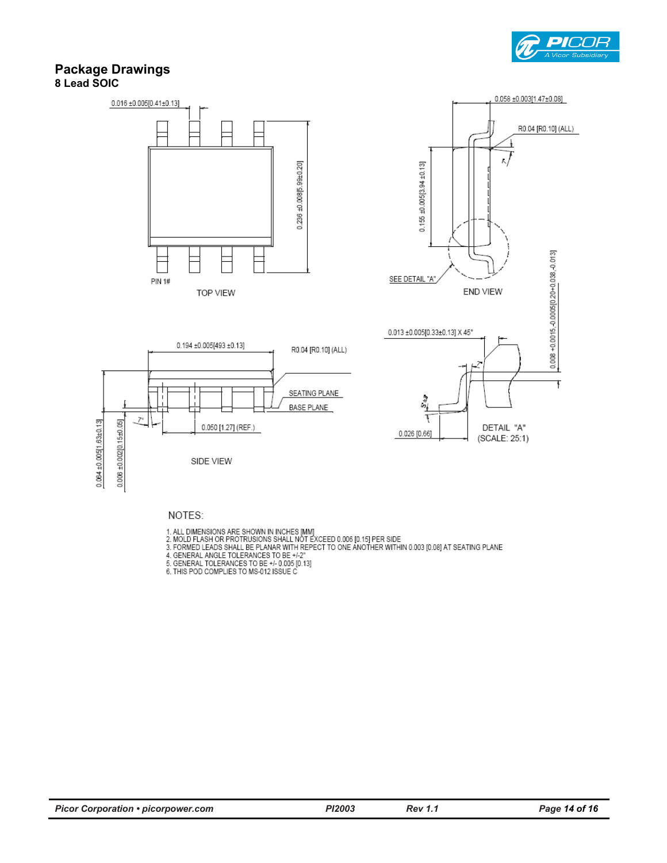

#### **Package Drawings 8 Lead SOIC**



NOTES:

- 
- 
- 1. ALL DIMENSIONS ARE SHOWN IN INCHES [MM]<br>2. MOLD FLASH OR PROTRUSIONS SHALL NOT EXCEED 0.006 [0.15] PER SIDE<br>3. FORMED LEADS SHALL BE PLANAR WITH REPECT TO ONE ANOTHER WITHIN 0.003 [0.08] AT SEATING PLANE<br>4. GENERAL ANG
- 
- 
-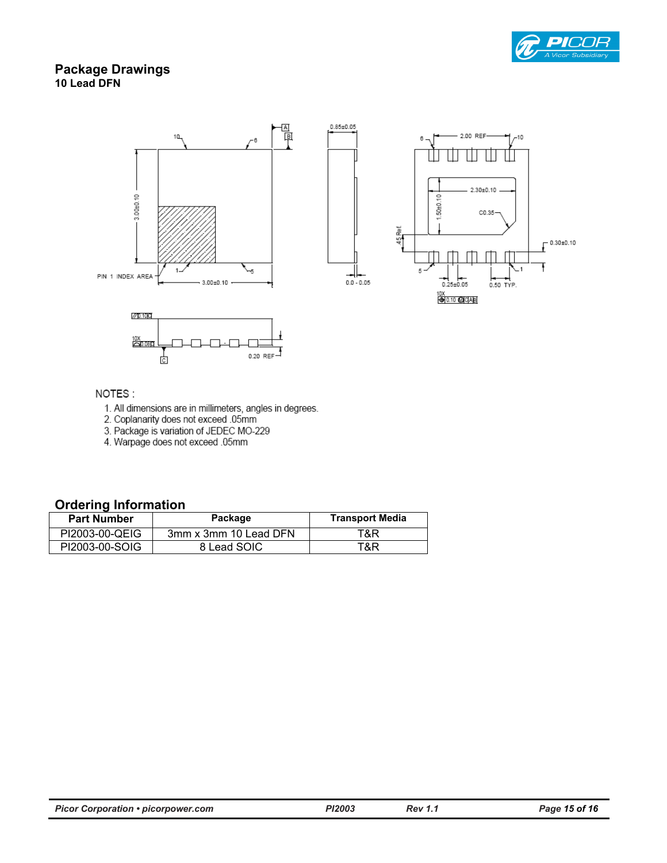

### **Package Drawings 10 Lead DFN**



#### NOTES:

- 1. All dimensions are in millimeters, angles in degrees.<br>2. Coplanarity does not exceed .05mm
- 
- 3. Package is variation of JEDEC MO-229
- 4. Warpage does not exceed .05mm

ċ

### **Ordering Information**

| <b>Part Number</b> | Package               | <b>Transport Media</b> |
|--------------------|-----------------------|------------------------|
| PI2003-00-QEIG     | 3mm x 3mm 10 Lead DFN | T&R                    |
| PI2003-00-SOIG     | 8 Lead SOIC           | T&R                    |